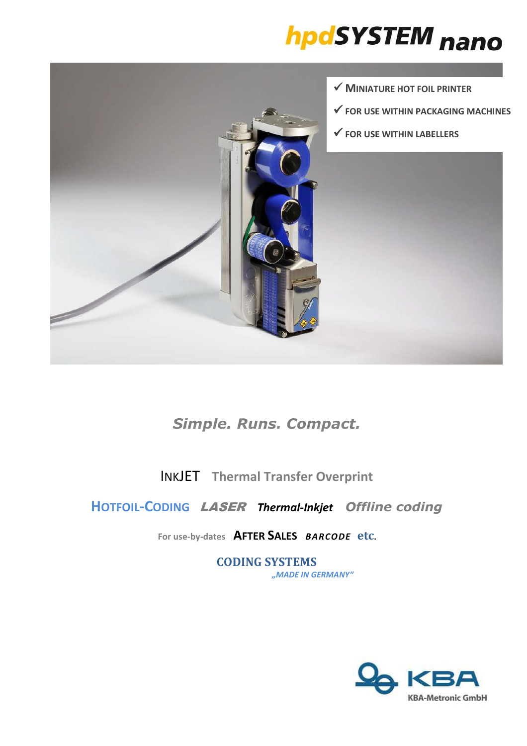# hpdSYSTEM nano



## *Simple. Runs. Compact.*

INKJET **Thermal Transfer Overprint**

### **HOTFOIL-CODING** LASER *Thermal-Inkjet**Offline coding*

**For use-by-dates AFTER SALES** *BARCODE* **etc.** 

**CODING SYSTEMS** *"MADE IN GERMANY"*